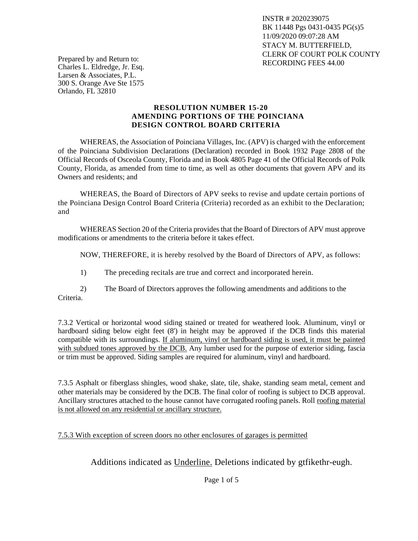INSTR # 2020239075 BK 11448 Pgs 0431-0435 PG(s)5 11/09/2020 09:07:28 AM STACY M. BUTTERFIELD, CLERK OF COURT POLK COUNTY RECORDING FEES 44.00

Prepared by and Return to: Charles L. Eldredge, Jr. Esq. Larsen & Associates, P.L. 300 S. Orange Ave Ste 1575 Orlando, FL 32810

## **RESOLUTION NUMBER 15-20 AMENDING PORTIONS OF THE POINCIANA DESIGN CONTROL BOARD CRITERIA**

WHEREAS, the Association of Poinciana Villages, Inc. (APV) is charged with the enforcement of the Poinciana Subdivision Declarations (Declaration) recorded in Book 1932 Page 2808 of the Official Records of Osceola County, Florida and in Book 4805 Page 41 of the Official Records of Polk County, Florida, as amended from time to time, as well as other documents that govern APV and its Owners and residents; and

WHEREAS, the Board of Directors of APV seeks to revise and update certain portions of the Poinciana Design Control Board Criteria (Criteria) recorded as an exhibit to the Declaration; and

WHEREAS Section 20 of the Criteria provides that the Board of Directors of APV must approve modifications or amendments to the criteria before it takes effect.

NOW, THEREFORE, it is hereby resolved by the Board of Directors of APV, as follows:

1) The preceding recitals are true and correct and incorporated herein.

2) The Board of Directors approves the following amendments and additions to the Criteria.

7.3.2 Vertical or horizontal wood siding stained or treated for weathered look. Aluminum, vinyl or hardboard siding below eight feet (8') in height may be approved if the DCB finds this material compatible with its surroundings. If aluminum, vinyl or hardboard siding is used, it must be painted with subdued tones approved by the DCB. Any lumber used for the purpose of exterior siding, fascia or trim must be approved. Siding samples are required for aluminum, vinyl and hardboard.

7.3.5 Asphalt or fiberglass shingles, wood shake, slate, tile, shake, standing seam metal, cement and other materials may be considered by the DCB. The final color of roofing is subject to DCB approval. Ancillary structures attached to the house cannot have corrugated roofing panels. Roll roofing material is not allowed on any residential or ancillary structure.

## 7.5.3 With exception of screen doors no other enclosures of garages is permitted

Additions indicated as Underline. Deletions indicated by gtfikethr-eugh.

Page 1 of 5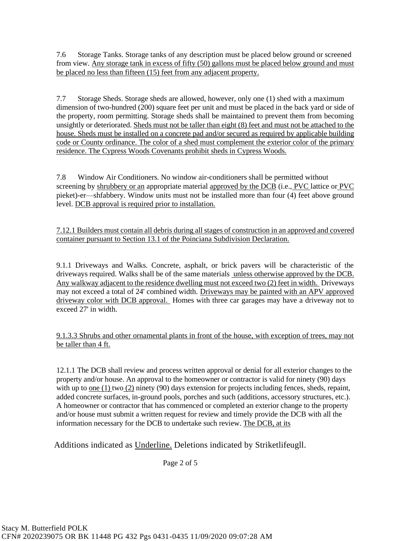7.6 Storage Tanks. Storage tanks of any description must be placed below ground or screened from view. Any storage tank in excess of fifty (50) gallons must be placed below ground and must be placed no less than fifteen (15) feet from any adjacent property.

7.7 Storage Sheds. Storage sheds are allowed, however, only one (1) shed with a maximum dimension of two-hundred (200) square feet per unit and must be placed in the back yard or side of the property, room permitting. Storage sheds shall be maintained to prevent them from becoming unsightly or deteriorated. Sheds must not be taller than eight (8) feet and must not be attached to the house. Sheds must be installed on a concrete pad and/or secured as required by applicable building code or County ordinance. The color of a shed must complement the exterior color of the primary residence. The Cypress Woods Covenants prohibit sheds in Cypress Woods.

7.8 Window Air Conditioners. No window air-conditioners shall be permitted without screening by shrubbery or an appropriate material approved by the DCB (i.e., PVC lattice or PVC pieket)-er—shfabbery. Window units must not be installed more than four (4) feet above ground level. DCB approval is required prior to installation.

7.12.1 Builders must contain all debris during all stages of construction in an approved and covered container pursuant to Section 13.1 of the Poinciana Subdivision Declaration.

9.1.1 Driveways and Walks. Concrete, asphalt, or brick pavers will be characteristic of the driveways required. Walks shall be of the same materials unless otherwise approved by the DCB. Any walkway adjacent to the residence dwelling must not exceed two (2) feet in width. Driveways may not exceed a total of 24' combined width. Driveways may be painted with an APV approved driveway color with DCB approval. Homes with three car garages may have a driveway not to exceed 27' in width.

9.1.3.3 Shrubs and other ornamental plants in front of the house, with exception of trees, may not be taller than 4 ft.

12.1.1 The DCB shall review and process written approval or denial for all exterior changes to the property and/or house. An approval to the homeowner or contractor is valid for ninety (90) days with up to <u>one (1)</u> two  $(2)$  ninety (90) days extension for projects including fences, sheds, repaint, added concrete surfaces, in-ground pools, porches and such (additions, accessory structures, etc.). A homeowner or contractor that has commenced or completed an exterior change to the property and/or house must submit a written request for review and timely provide the DCB with all the information necessary for the DCB to undertake such review. The DCB, at its

Additions indicated as Underline. Deletions indicated by Striketlifeugll.

Page 2 of 5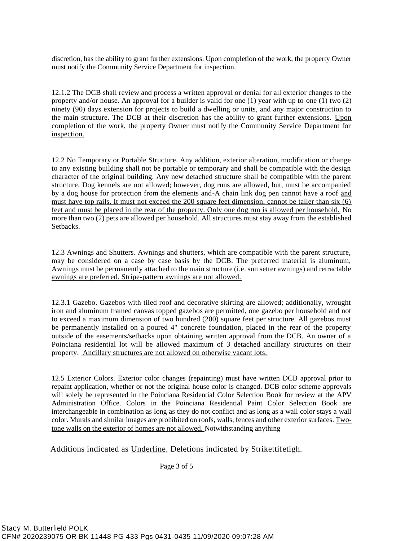discretion, has the ability to grant further extensions. Upon completion of the work, the property Owner must notify the Community Service Department for inspection.

12.1.2 The DCB shall review and process a written approval or denial for all exterior changes to the property and/or house. An approval for a builder is valid for one (1) year with up to one (1) two (2) ninety (90) days extension for projects to build a dwelling or units, and any major construction to the main structure. The DCB at their discretion has the ability to grant further extensions. Upon completion of the work, the property Owner must notify the Community Service Department for inspection.

12.2 No Temporary or Portable Structure. Any addition, exterior alteration, modification or change to any existing building shall not be portable or temporary and shall be compatible with the design character of the original building. Any new detached structure shall be compatible with the parent structure. Dog kennels are not allowed; however, dog runs are allowed, but, must be accompanied by a dog house for protection from the elements and-A chain link dog pen cannot have a roof and must have top rails. It must not exceed the 200 square feet dimension, cannot be taller than six (6) feet and must be placed in the rear of the property. Only one dog run is allowed per household. No more than two (2) pets are allowed per household. All structures must stay away from the established Setbacks.

12.3 Awnings and Shutters. Awnings and shutters, which are compatible with the parent structure, may be considered on a case by case basis by the DCB. The preferred material is aluminum, Awnings must be permanently attached to the main structure (i.e. sun setter awnings) and retractable awnings are preferred. Stripe-pattern awnings are not allowed.

12.3.1 Gazebo. Gazebos with tiled roof and decorative skirting are allowed; additionally, wrought iron and aluminum framed canvas topped gazebos are permitted, one gazebo per household and not to exceed a maximum dimension of two hundred (200) square feet per structure. All gazebos must be permanently installed on a poured 4" concrete foundation, placed in the rear of the property outside of the easements/setbacks upon obtaining written approval from the DCB. An owner of a Poinciana residential lot will be allowed maximum of 3 detached ancillary structures on their property. Ancillary structures are not allowed on otherwise vacant lots.

12.5 Exterior Colors. Exterior color changes (repainting) must have written DCB approval prior to repaint application, whether or not the original house color is changed. DCB color scheme approvals will solely be represented in the Poinciana Residential Color Selection Book for review at the APV Administration Office. Colors in the Poinciana Residential Paint Color Selection Book are interchangeable in combination as long as they do not conflict and as long as a wall color stays a wall color. Murals and similar images are prohibited on roofs, walls, fences and other exterior surfaces. Twotone walls on the exterior of homes are not allowed. Notwithstanding anything

Additions indicated as Underline. Deletions indicated by Strikettifetigh.

Page 3 of 5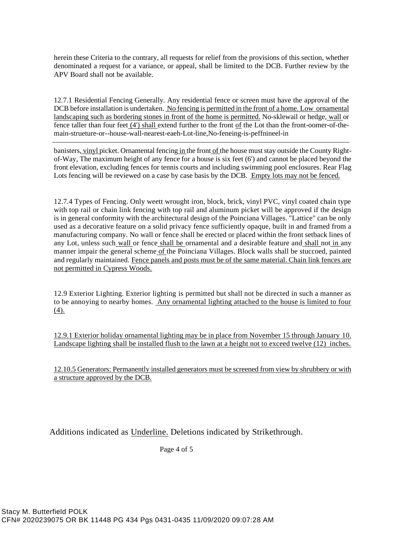herein these Criteria to the contrary, all requests for relief from the provisions of this section, whether denominated a request for a variance, or appeal, shall be limited to the DCB. Further review by the APV Board shall not be available.

12.7.1 Residential Fencing Generally. Any residential fence or screen must have the approval of the DCB before installation is undertaken. No fencing is permitted in the front of a home. Low ornamental landscaping such as bordering stones in front of the home is permitted. No-sklewail or hedge, wall or fence taller than four feet (4') shall extend further to the front of the Lot than the front-oomer-of-themain-strueture-or--house-wall-nearest-eaeh-Lot-line,No-feneing-is-peffnineel-in

banisters, vinyl picket. Ornamental fencing in the front of the house must stay outside the County Rightof-Way, The maximum height of any fence for a house is six feet (6') and cannot be placed beyond the front elevation, excluding fences for tennis courts and including swimming pool enclosures. Rear Flag Lots fencing will be reviewed on a case by case basis by the DCB. Empty lots may not be fenced.

12.7.4 Types of Fencing. Only weett wrought iron, block, brick, vinyl PVC, vinyl coated chain type with top rail or chain link fencing with top rail and aluminum picket will be approved if the design is in general conformity with the architectural design of the Poinciana Villages. "Lattice" can be only used as a decorative feature on a solid privacy fence sufficiently opaque, built in and framed from a manufacturing company. No wall or fence shall be erected or placed within the front setback lines of any Lot, unless such wall or fence shall be ornamental and a desirable feature and shall not in any manner impair the general scheme of the Poinciana Villages. Block walls shall be stuccoed, painted and regularly maintained. Fence panels and posts must be of the same material. Chain link fences are not permitted in Cypress Woods.

12.9 Exterior Lighting. Exterior lighting is permitted but shall not be directed in such a manner as to be annoying to nearby homes. Any ornamental lighting attached to the house is limited to four (4).

12.9.1 Exterior holiday ornamental lighting may be in place from November 15 through January 10. Landscape lighting shall be installed flush to the lawn at a height not to exceed twelve (12) inches.

12.10.5 Generators: Permanently installed generators must be screened from view by shrubbery or with a structure approved by the DCB.

Additions indicated as Underline. Deletions indicated by Strikethrough.

Page 4 of 5